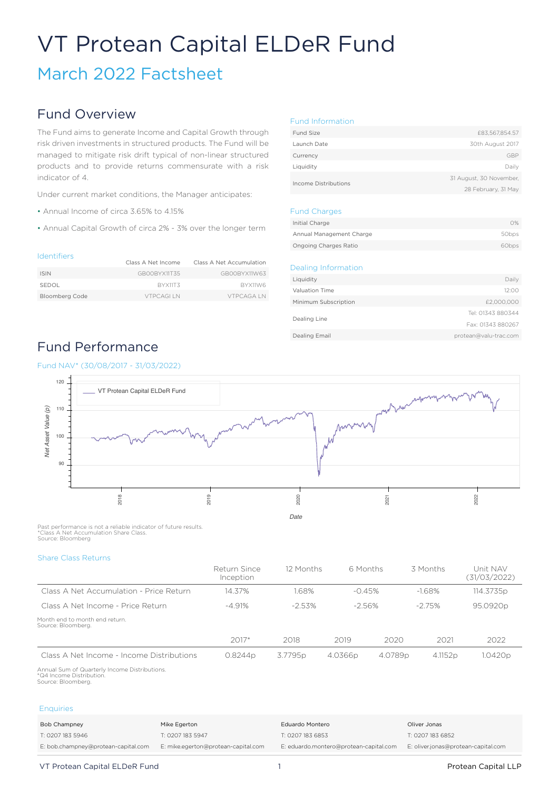# VT Protean Capital ELDeR Fund

March 2022 Factsheet

### Fund Overview

The Fund aims to generate Income and Capital Growth through risk driven investments in structured products. The Fund will be managed to mitigate risk drift typical of non-linear structured products and to provide returns commensurate with a risk indicator of 4.

Under current market conditions, the Manager anticipates:

- Annual Income of circa 3.65% to 4.15%
- Annual Capital Growth of circa 2% 3% over the longer term

#### Identifiers

| .                     | Class A Net Income | Class A Net Accumulation |
|-----------------------|--------------------|--------------------------|
| <b>ISIN</b>           | GBOOBYX11T35       | GBOOBYX11W63             |
| SEDOL                 | BYX11T3            | BYX11W6                  |
| <b>Bloomberg Code</b> | <b>VTPCAGLIN</b>   | VTPCAGA IN               |

#### Fund Information

| Fund Size            | £83,567,854.57          |
|----------------------|-------------------------|
| Launch Date          | 30th August 2017        |
| Currency             | GBP                     |
| Liquidity            | Daily                   |
|                      | 31 August, 30 November, |
| Income Distributions | 28 February, 31 May     |

#### Fund Charges

| Initial Charge           | 0%                |
|--------------------------|-------------------|
| Annual Management Charge | 50bps             |
| Ongoing Charges Ratio    | 60 <sub>bps</sub> |

#### Dealing Information

| Liquidity            | Daily                 |
|----------------------|-----------------------|
| Valuation Time       | 12:00                 |
| Minimum Subscription | £2,000,000            |
|                      | Tel: 01343 880344     |
| Dealing Line         | Fax: 01343 880267     |
| Dealing Email        | protean@valu-trac.com |
|                      |                       |

## Fund Performance

### Fund NAV\* (30/08/2017 - 31/03/2022)



Past performance is not a reliable indicator of future results. \*Class A Net Accumulation Share Class. Source: Bloomberg

Share Class Returns

|                                                      | Return Since<br>Inception | 12 Months | 6 Months  |         | 3 Months            | Unit NAV<br>(31/03/2022) |
|------------------------------------------------------|---------------------------|-----------|-----------|---------|---------------------|--------------------------|
| Class A Net Accumulation - Price Return              | 14.37%                    | 1.68%     | $-0.45%$  |         | $-1.68%$            | 114.3735p                |
| Class A Net Income - Price Return                    | $-4.91%$                  | $-2.53%$  | $-2.56\%$ |         | $-2.75%$            | 95.0920p                 |
| Month end to month end return.<br>Source: Bloomberg. |                           |           |           |         |                     |                          |
|                                                      | $2017*$                   | 2018      | 2019      | 2020    | 2021                | 2022                     |
| Class A Net Income - Income Distributions            | 0.8244p                   | 3.7795p   | 4.0366p   | 4.0789p | 4.1152 <sub>p</sub> | 1.0420p                  |

Annual Sum of Quarterly Income Distributions. \*Q4 Income Distribution. Source: Bloomberg.

#### **Enquiries**

| Bob Champney                        | Mike Egerton                        | Eduardo Montero                        | Oliver Jonas                        |
|-------------------------------------|-------------------------------------|----------------------------------------|-------------------------------------|
| T: 0207 183 5946                    | T: 0207 183 5947                    | T: 0207 183 6853                       | T: 0207 183 6852                    |
| E: bob.champney@protean-capital.com | E: mike.egerton@protean-capital.com | E: eduardo.montero@protean-capital.com | E: oliver.jonas@protean-capital.com |